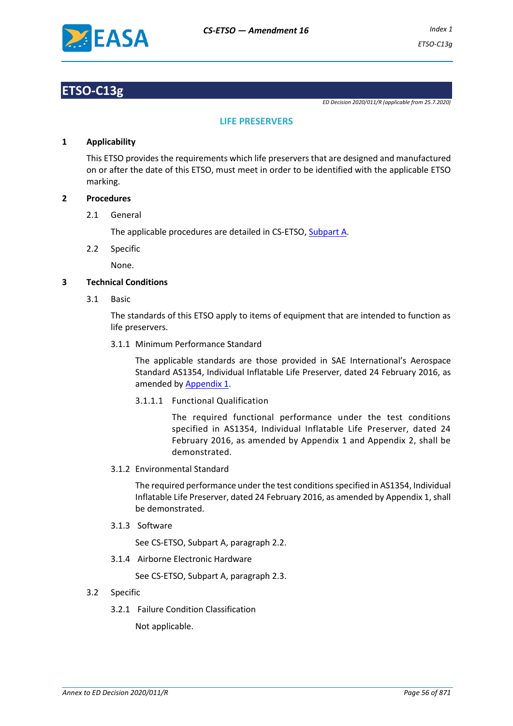

## **ETSO-C13g**

*ED Decision 2020/011/R (applicable from 25.7.2020)*

#### **LIFE PRESERVERS**

#### **1 Applicability**

This ETSO provides the requirements which life preservers that are designed and manufactured on or after the date of this ETSO, must meet in order to be identified with the applicable ETSO marking.

#### **2 Procedures**

2.1 General

The applicable procedures are detailed in CS-ETSO, Subpart A.

2.2 Specific

None.

#### **3 Technical Conditions**

3.1 Basic

The standards of this ETSO apply to items of equipment that are intended to function as life preservers.

3.1.1 Minimum Performance Standard

The applicable standards are those provided in SAE International's Aerospace Standard AS1354, Individual Inflatable Life Preserver, dated 24 February 2016, as amended by Appendix 1.

3.1.1.1 Functional Qualification

The required functional performance under the test conditions specified in AS1354, Individual Inflatable Life Preserver, dated 24 February 2016, as amended by Appendix 1 and Appendix 2, shall be demonstrated.

3.1.2 Environmental Standard

The required performance under the test conditions specified in AS1354, Individual Inflatable Life Preserver, dated 24 February 2016, as amended by Appendix 1, shall be demonstrated.

3.1.3 Software

See CS-ETSO, Subpart A, paragraph 2.2.

3.1.4 Airborne Electronic Hardware

See CS-ETSO, Subpart A, paragraph 2.3.

- 3.2 Specific
	- 3.2.1 Failure Condition Classification

Not applicable.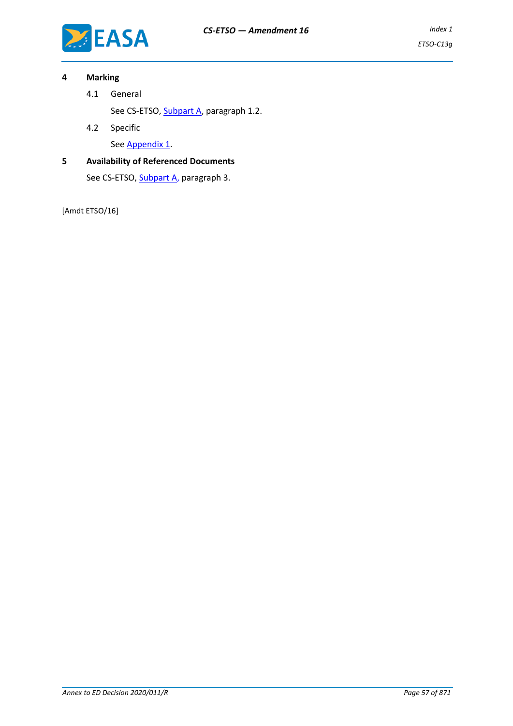

#### **4 Marking**

4.1 General

See CS-ETSO, Subpart A, paragraph 1.2.

4.2 Specific

See Appendix 1.

### **5 Availability of Referenced Documents**

See CS-ETSO, Subpart A, paragraph 3.

[Amdt ETSO/16]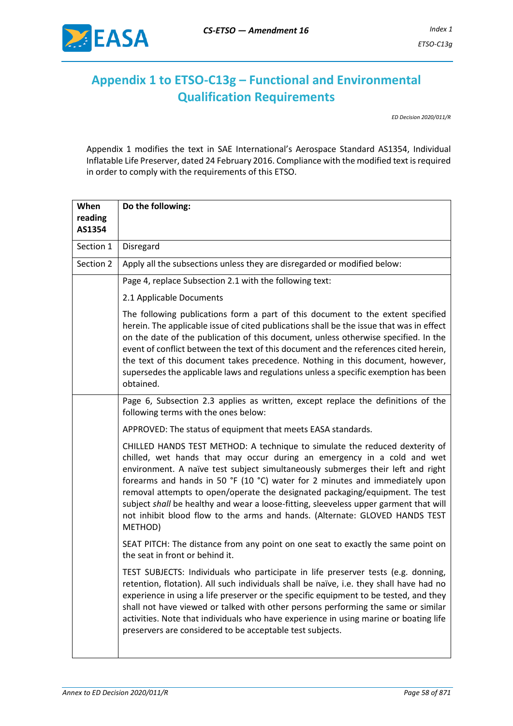

## **Appendix 1 to ETSO-C13g – Functional and Environmental Qualification Requirements**

*ED Decision 2020/011/R*

Appendix 1 modifies the text in SAE International's Aerospace Standard AS1354, Individual Inflatable Life Preserver, dated 24 February 2016. Compliance with the modified text is required in order to comply with the requirements of this ETSO.

| When              | Do the following:                                                                                                                                                                                                                                                                                                                                                                                                                                                                                                                                                                             |  |
|-------------------|-----------------------------------------------------------------------------------------------------------------------------------------------------------------------------------------------------------------------------------------------------------------------------------------------------------------------------------------------------------------------------------------------------------------------------------------------------------------------------------------------------------------------------------------------------------------------------------------------|--|
| reading<br>AS1354 |                                                                                                                                                                                                                                                                                                                                                                                                                                                                                                                                                                                               |  |
| Section 1         | Disregard                                                                                                                                                                                                                                                                                                                                                                                                                                                                                                                                                                                     |  |
| Section 2         | Apply all the subsections unless they are disregarded or modified below:                                                                                                                                                                                                                                                                                                                                                                                                                                                                                                                      |  |
|                   | Page 4, replace Subsection 2.1 with the following text:                                                                                                                                                                                                                                                                                                                                                                                                                                                                                                                                       |  |
|                   | 2.1 Applicable Documents                                                                                                                                                                                                                                                                                                                                                                                                                                                                                                                                                                      |  |
|                   | The following publications form a part of this document to the extent specified<br>herein. The applicable issue of cited publications shall be the issue that was in effect<br>on the date of the publication of this document, unless otherwise specified. In the<br>event of conflict between the text of this document and the references cited herein,<br>the text of this document takes precedence. Nothing in this document, however,<br>supersedes the applicable laws and regulations unless a specific exemption has been<br>obtained.                                              |  |
|                   | Page 6, Subsection 2.3 applies as written, except replace the definitions of the<br>following terms with the ones below:                                                                                                                                                                                                                                                                                                                                                                                                                                                                      |  |
|                   | APPROVED: The status of equipment that meets EASA standards.                                                                                                                                                                                                                                                                                                                                                                                                                                                                                                                                  |  |
|                   | CHILLED HANDS TEST METHOD: A technique to simulate the reduced dexterity of<br>chilled, wet hands that may occur during an emergency in a cold and wet<br>environment. A naïve test subject simultaneously submerges their left and right<br>forearms and hands in 50 °F (10 °C) water for 2 minutes and immediately upon<br>removal attempts to open/operate the designated packaging/equipment. The test<br>subject shall be healthy and wear a loose-fitting, sleeveless upper garment that will<br>not inhibit blood flow to the arms and hands. (Alternate: GLOVED HANDS TEST<br>METHOD) |  |
|                   | SEAT PITCH: The distance from any point on one seat to exactly the same point on<br>the seat in front or behind it.                                                                                                                                                                                                                                                                                                                                                                                                                                                                           |  |
|                   | TEST SUBJECTS: Individuals who participate in life preserver tests (e.g. donning,<br>retention, flotation). All such individuals shall be naïve, i.e. they shall have had no<br>experience in using a life preserver or the specific equipment to be tested, and they<br>shall not have viewed or talked with other persons performing the same or similar<br>activities. Note that individuals who have experience in using marine or boating life<br>preservers are considered to be acceptable test subjects.                                                                              |  |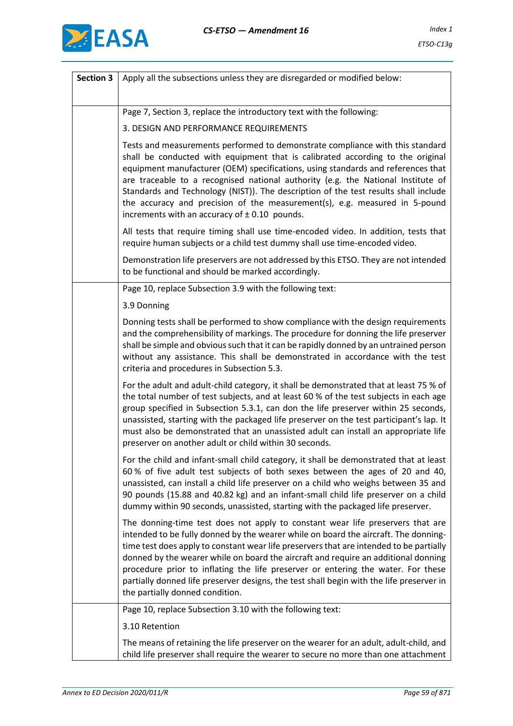

| <b>Section 3</b> | Apply all the subsections unless they are disregarded or modified below:                                                                                                                                                                                                                                                                                                                                                                                                                                                                                                  |  |  |  |
|------------------|---------------------------------------------------------------------------------------------------------------------------------------------------------------------------------------------------------------------------------------------------------------------------------------------------------------------------------------------------------------------------------------------------------------------------------------------------------------------------------------------------------------------------------------------------------------------------|--|--|--|
|                  |                                                                                                                                                                                                                                                                                                                                                                                                                                                                                                                                                                           |  |  |  |
|                  | Page 7, Section 3, replace the introductory text with the following:                                                                                                                                                                                                                                                                                                                                                                                                                                                                                                      |  |  |  |
|                  | 3. DESIGN AND PERFORMANCE REQUIREMENTS                                                                                                                                                                                                                                                                                                                                                                                                                                                                                                                                    |  |  |  |
|                  | Tests and measurements performed to demonstrate compliance with this standard<br>shall be conducted with equipment that is calibrated according to the original<br>equipment manufacturer (OEM) specifications, using standards and references that<br>are traceable to a recognised national authority (e.g. the National Institute of<br>Standards and Technology (NIST)). The description of the test results shall include<br>the accuracy and precision of the measurement(s), e.g. measured in 5-pound<br>increments with an accuracy of $\pm$ 0.10 pounds.         |  |  |  |
|                  | All tests that require timing shall use time-encoded video. In addition, tests that<br>require human subjects or a child test dummy shall use time-encoded video.                                                                                                                                                                                                                                                                                                                                                                                                         |  |  |  |
|                  | Demonstration life preservers are not addressed by this ETSO. They are not intended<br>to be functional and should be marked accordingly.                                                                                                                                                                                                                                                                                                                                                                                                                                 |  |  |  |
|                  | Page 10, replace Subsection 3.9 with the following text:                                                                                                                                                                                                                                                                                                                                                                                                                                                                                                                  |  |  |  |
|                  | 3.9 Donning                                                                                                                                                                                                                                                                                                                                                                                                                                                                                                                                                               |  |  |  |
|                  | Donning tests shall be performed to show compliance with the design requirements<br>and the comprehensibility of markings. The procedure for donning the life preserver<br>shall be simple and obvious such that it can be rapidly donned by an untrained person<br>without any assistance. This shall be demonstrated in accordance with the test<br>criteria and procedures in Subsection 5.3.                                                                                                                                                                          |  |  |  |
|                  | For the adult and adult-child category, it shall be demonstrated that at least 75 % of<br>the total number of test subjects, and at least 60 % of the test subjects in each age<br>group specified in Subsection 5.3.1, can don the life preserver within 25 seconds,<br>unassisted, starting with the packaged life preserver on the test participant's lap. It<br>must also be demonstrated that an unassisted adult can install an appropriate life<br>preserver on another adult or child within 30 seconds.                                                          |  |  |  |
|                  | For the child and infant-small child category, it shall be demonstrated that at least<br>60% of five adult test subjects of both sexes between the ages of 20 and 40,<br>unassisted, can install a child life preserver on a child who weighs between 35 and<br>90 pounds (15.88 and 40.82 kg) and an infant-small child life preserver on a child<br>dummy within 90 seconds, unassisted, starting with the packaged life preserver.                                                                                                                                     |  |  |  |
|                  | The donning-time test does not apply to constant wear life preservers that are<br>intended to be fully donned by the wearer while on board the aircraft. The donning-<br>time test does apply to constant wear life preservers that are intended to be partially<br>donned by the wearer while on board the aircraft and require an additional donning<br>procedure prior to inflating the life preserver or entering the water. For these<br>partially donned life preserver designs, the test shall begin with the life preserver in<br>the partially donned condition. |  |  |  |
|                  | Page 10, replace Subsection 3.10 with the following text:                                                                                                                                                                                                                                                                                                                                                                                                                                                                                                                 |  |  |  |
|                  | 3.10 Retention                                                                                                                                                                                                                                                                                                                                                                                                                                                                                                                                                            |  |  |  |
|                  | The means of retaining the life preserver on the wearer for an adult, adult-child, and<br>child life preserver shall require the wearer to secure no more than one attachment                                                                                                                                                                                                                                                                                                                                                                                             |  |  |  |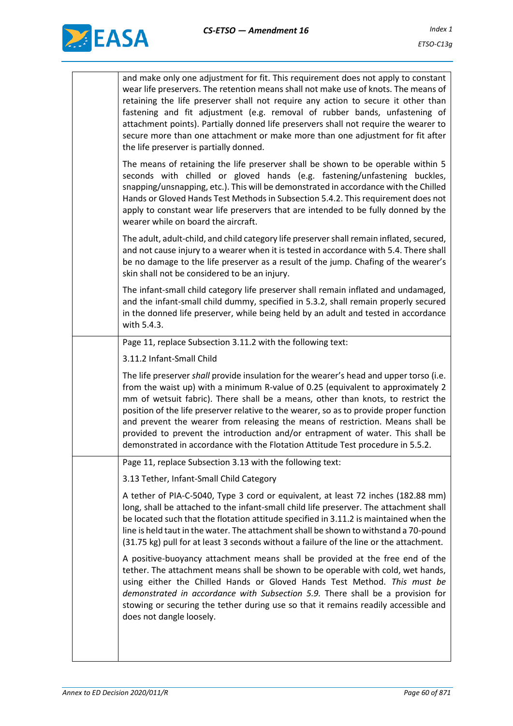

| and make only one adjustment for fit. This requirement does not apply to constant<br>wear life preservers. The retention means shall not make use of knots. The means of<br>retaining the life preserver shall not require any action to secure it other than<br>fastening and fit adjustment (e.g. removal of rubber bands, unfastening of<br>attachment points). Partially donned life preservers shall not require the wearer to<br>secure more than one attachment or make more than one adjustment for fit after<br>the life preserver is partially donned. |
|------------------------------------------------------------------------------------------------------------------------------------------------------------------------------------------------------------------------------------------------------------------------------------------------------------------------------------------------------------------------------------------------------------------------------------------------------------------------------------------------------------------------------------------------------------------|
| The means of retaining the life preserver shall be shown to be operable within 5<br>seconds with chilled or gloved hands (e.g. fastening/unfastening buckles,<br>snapping/unsnapping, etc.). This will be demonstrated in accordance with the Chilled<br>Hands or Gloved Hands Test Methods in Subsection 5.4.2. This requirement does not<br>apply to constant wear life preservers that are intended to be fully donned by the<br>wearer while on board the aircraft.                                                                                          |
| The adult, adult-child, and child category life preserver shall remain inflated, secured,<br>and not cause injury to a wearer when it is tested in accordance with 5.4. There shall<br>be no damage to the life preserver as a result of the jump. Chafing of the wearer's<br>skin shall not be considered to be an injury.                                                                                                                                                                                                                                      |
| The infant-small child category life preserver shall remain inflated and undamaged,<br>and the infant-small child dummy, specified in 5.3.2, shall remain properly secured<br>in the donned life preserver, while being held by an adult and tested in accordance<br>with 5.4.3.                                                                                                                                                                                                                                                                                 |
| Page 11, replace Subsection 3.11.2 with the following text:                                                                                                                                                                                                                                                                                                                                                                                                                                                                                                      |
| 3.11.2 Infant-Small Child                                                                                                                                                                                                                                                                                                                                                                                                                                                                                                                                        |
| The life preserver shall provide insulation for the wearer's head and upper torso (i.e.                                                                                                                                                                                                                                                                                                                                                                                                                                                                          |
| from the waist up) with a minimum R-value of 0.25 (equivalent to approximately 2<br>mm of wetsuit fabric). There shall be a means, other than knots, to restrict the<br>position of the life preserver relative to the wearer, so as to provide proper function<br>and prevent the wearer from releasing the means of restriction. Means shall be<br>provided to prevent the introduction and/or entrapment of water. This shall be<br>demonstrated in accordance with the Flotation Attitude Test procedure in 5.5.2.                                           |
| Page 11, replace Subsection 3.13 with the following text:                                                                                                                                                                                                                                                                                                                                                                                                                                                                                                        |
| 3.13 Tether, Infant-Small Child Category                                                                                                                                                                                                                                                                                                                                                                                                                                                                                                                         |
| A tether of PIA-C-5040, Type 3 cord or equivalent, at least 72 inches (182.88 mm)<br>long, shall be attached to the infant-small child life preserver. The attachment shall<br>be located such that the flotation attitude specified in 3.11.2 is maintained when the<br>line is held taut in the water. The attachment shall be shown to withstand a 70-pound<br>(31.75 kg) pull for at least 3 seconds without a failure of the line or the attachment.                                                                                                        |
| A positive-buoyancy attachment means shall be provided at the free end of the<br>tether. The attachment means shall be shown to be operable with cold, wet hands,<br>using either the Chilled Hands or Gloved Hands Test Method. This must be<br>demonstrated in accordance with Subsection 5.9. There shall be a provision for<br>stowing or securing the tether during use so that it remains readily accessible and<br>does not dangle loosely.                                                                                                               |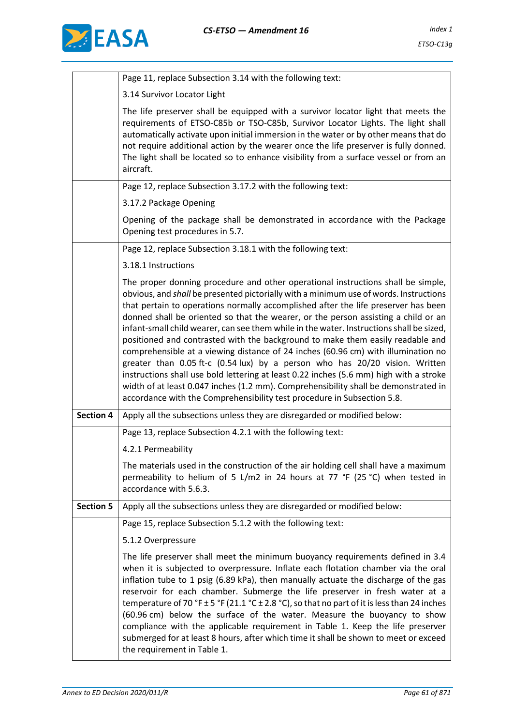

|                  | Page 11, replace Subsection 3.14 with the following text:                                                                                                                                                                                                                                                                                                                                                                                                                                                                                                                                                                                                                                                                                                                                                                                                                                                                                                           |
|------------------|---------------------------------------------------------------------------------------------------------------------------------------------------------------------------------------------------------------------------------------------------------------------------------------------------------------------------------------------------------------------------------------------------------------------------------------------------------------------------------------------------------------------------------------------------------------------------------------------------------------------------------------------------------------------------------------------------------------------------------------------------------------------------------------------------------------------------------------------------------------------------------------------------------------------------------------------------------------------|
|                  | 3.14 Survivor Locator Light                                                                                                                                                                                                                                                                                                                                                                                                                                                                                                                                                                                                                                                                                                                                                                                                                                                                                                                                         |
|                  | The life preserver shall be equipped with a survivor locator light that meets the<br>requirements of ETSO-C85b or TSO-C85b, Survivor Locator Lights. The light shall<br>automatically activate upon initial immersion in the water or by other means that do<br>not require additional action by the wearer once the life preserver is fully donned.<br>The light shall be located so to enhance visibility from a surface vessel or from an<br>aircraft.                                                                                                                                                                                                                                                                                                                                                                                                                                                                                                           |
|                  | Page 12, replace Subsection 3.17.2 with the following text:                                                                                                                                                                                                                                                                                                                                                                                                                                                                                                                                                                                                                                                                                                                                                                                                                                                                                                         |
|                  | 3.17.2 Package Opening                                                                                                                                                                                                                                                                                                                                                                                                                                                                                                                                                                                                                                                                                                                                                                                                                                                                                                                                              |
|                  | Opening of the package shall be demonstrated in accordance with the Package<br>Opening test procedures in 5.7.                                                                                                                                                                                                                                                                                                                                                                                                                                                                                                                                                                                                                                                                                                                                                                                                                                                      |
|                  | Page 12, replace Subsection 3.18.1 with the following text:                                                                                                                                                                                                                                                                                                                                                                                                                                                                                                                                                                                                                                                                                                                                                                                                                                                                                                         |
|                  | 3.18.1 Instructions                                                                                                                                                                                                                                                                                                                                                                                                                                                                                                                                                                                                                                                                                                                                                                                                                                                                                                                                                 |
|                  | The proper donning procedure and other operational instructions shall be simple,<br>obvious, and shall be presented pictorially with a minimum use of words. Instructions<br>that pertain to operations normally accomplished after the life preserver has been<br>donned shall be oriented so that the wearer, or the person assisting a child or an<br>infant-small child wearer, can see them while in the water. Instructions shall be sized,<br>positioned and contrasted with the background to make them easily readable and<br>comprehensible at a viewing distance of 24 inches (60.96 cm) with illumination no<br>greater than 0.05 ft-c (0.54 lux) by a person who has 20/20 vision. Written<br>instructions shall use bold lettering at least 0.22 inches (5.6 mm) high with a stroke<br>width of at least 0.047 inches (1.2 mm). Comprehensibility shall be demonstrated in<br>accordance with the Comprehensibility test procedure in Subsection 5.8. |
| <b>Section 4</b> | Apply all the subsections unless they are disregarded or modified below:                                                                                                                                                                                                                                                                                                                                                                                                                                                                                                                                                                                                                                                                                                                                                                                                                                                                                            |
|                  | Page 13, replace Subsection 4.2.1 with the following text:                                                                                                                                                                                                                                                                                                                                                                                                                                                                                                                                                                                                                                                                                                                                                                                                                                                                                                          |
|                  | 4.2.1 Permeability                                                                                                                                                                                                                                                                                                                                                                                                                                                                                                                                                                                                                                                                                                                                                                                                                                                                                                                                                  |
|                  | The materials used in the construction of the air holding cell shall have a maximum<br>permeability to helium of 5 L/m2 in 24 hours at 77 °F (25 °C) when tested in<br>accordance with 5.6.3.                                                                                                                                                                                                                                                                                                                                                                                                                                                                                                                                                                                                                                                                                                                                                                       |
| <b>Section 5</b> | Apply all the subsections unless they are disregarded or modified below:                                                                                                                                                                                                                                                                                                                                                                                                                                                                                                                                                                                                                                                                                                                                                                                                                                                                                            |
|                  | Page 15, replace Subsection 5.1.2 with the following text:                                                                                                                                                                                                                                                                                                                                                                                                                                                                                                                                                                                                                                                                                                                                                                                                                                                                                                          |
|                  | 5.1.2 Overpressure                                                                                                                                                                                                                                                                                                                                                                                                                                                                                                                                                                                                                                                                                                                                                                                                                                                                                                                                                  |
|                  | The life preserver shall meet the minimum buoyancy requirements defined in 3.4<br>when it is subjected to overpressure. Inflate each flotation chamber via the oral<br>inflation tube to 1 psig (6.89 kPa), then manually actuate the discharge of the gas<br>reservoir for each chamber. Submerge the life preserver in fresh water at a<br>temperature of 70 °F ± 5 °F (21.1 °C ± 2.8 °C), so that no part of it is less than 24 inches<br>(60.96 cm) below the surface of the water. Measure the buoyancy to show<br>compliance with the applicable requirement in Table 1. Keep the life preserver<br>submerged for at least 8 hours, after which time it shall be shown to meet or exceed<br>the requirement in Table 1.                                                                                                                                                                                                                                       |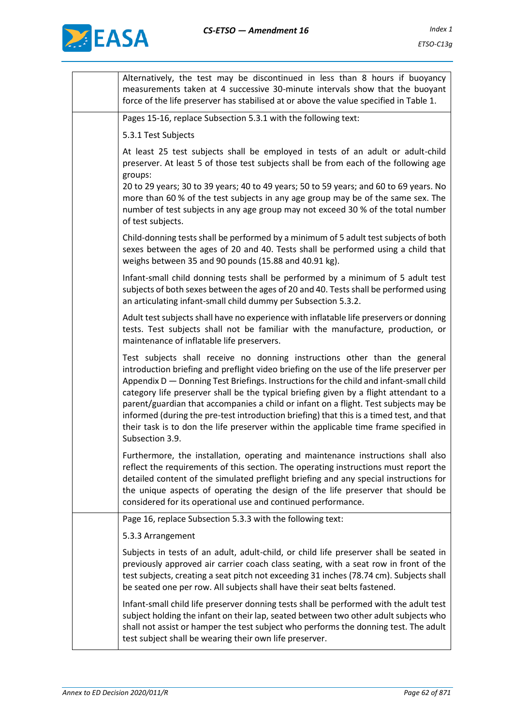

| Alternatively, the test may be discontinued in less than 8 hours if buoyancy<br>measurements taken at 4 successive 30-minute intervals show that the buoyant<br>force of the life preserver has stabilised at or above the value specified in Table 1.                                                                                                                                                                                                                                                                                                                                                                                                    |
|-----------------------------------------------------------------------------------------------------------------------------------------------------------------------------------------------------------------------------------------------------------------------------------------------------------------------------------------------------------------------------------------------------------------------------------------------------------------------------------------------------------------------------------------------------------------------------------------------------------------------------------------------------------|
| Pages 15-16, replace Subsection 5.3.1 with the following text:                                                                                                                                                                                                                                                                                                                                                                                                                                                                                                                                                                                            |
| 5.3.1 Test Subjects                                                                                                                                                                                                                                                                                                                                                                                                                                                                                                                                                                                                                                       |
| At least 25 test subjects shall be employed in tests of an adult or adult-child<br>preserver. At least 5 of those test subjects shall be from each of the following age<br>groups:                                                                                                                                                                                                                                                                                                                                                                                                                                                                        |
| 20 to 29 years; 30 to 39 years; 40 to 49 years; 50 to 59 years; and 60 to 69 years. No<br>more than 60 % of the test subjects in any age group may be of the same sex. The<br>number of test subjects in any age group may not exceed 30 % of the total number<br>of test subjects.                                                                                                                                                                                                                                                                                                                                                                       |
| Child-donning tests shall be performed by a minimum of 5 adult test subjects of both<br>sexes between the ages of 20 and 40. Tests shall be performed using a child that<br>weighs between 35 and 90 pounds (15.88 and 40.91 kg).                                                                                                                                                                                                                                                                                                                                                                                                                         |
| Infant-small child donning tests shall be performed by a minimum of 5 adult test<br>subjects of both sexes between the ages of 20 and 40. Tests shall be performed using<br>an articulating infant-small child dummy per Subsection 5.3.2.                                                                                                                                                                                                                                                                                                                                                                                                                |
| Adult test subjects shall have no experience with inflatable life preservers or donning<br>tests. Test subjects shall not be familiar with the manufacture, production, or<br>maintenance of inflatable life preservers.                                                                                                                                                                                                                                                                                                                                                                                                                                  |
| Test subjects shall receive no donning instructions other than the general<br>introduction briefing and preflight video briefing on the use of the life preserver per<br>Appendix D - Donning Test Briefings. Instructions for the child and infant-small child<br>category life preserver shall be the typical briefing given by a flight attendant to a<br>parent/guardian that accompanies a child or infant on a flight. Test subjects may be<br>informed (during the pre-test introduction briefing) that this is a timed test, and that<br>their task is to don the life preserver within the applicable time frame specified in<br>Subsection 3.9. |
| Furthermore, the installation, operating and maintenance instructions shall also<br>reflect the requirements of this section. The operating instructions must report the<br>detailed content of the simulated preflight briefing and any special instructions for<br>the unique aspects of operating the design of the life preserver that should be<br>considered for its operational use and continued performance.                                                                                                                                                                                                                                     |
| Page 16, replace Subsection 5.3.3 with the following text:                                                                                                                                                                                                                                                                                                                                                                                                                                                                                                                                                                                                |
| 5.3.3 Arrangement                                                                                                                                                                                                                                                                                                                                                                                                                                                                                                                                                                                                                                         |
| Subjects in tests of an adult, adult-child, or child life preserver shall be seated in<br>previously approved air carrier coach class seating, with a seat row in front of the<br>test subjects, creating a seat pitch not exceeding 31 inches (78.74 cm). Subjects shall<br>be seated one per row. All subjects shall have their seat belts fastened.                                                                                                                                                                                                                                                                                                    |
| Infant-small child life preserver donning tests shall be performed with the adult test<br>subject holding the infant on their lap, seated between two other adult subjects who<br>shall not assist or hamper the test subject who performs the donning test. The adult<br>test subject shall be wearing their own life preserver.                                                                                                                                                                                                                                                                                                                         |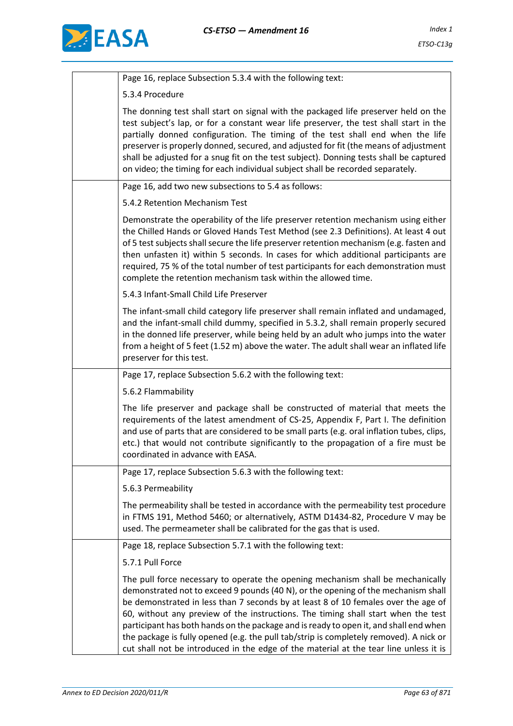

| Page 16, replace Subsection 5.3.4 with the following text:                                                                                                                                                                                                                                                                                                                                                                                                                                                                                                                                                                  |
|-----------------------------------------------------------------------------------------------------------------------------------------------------------------------------------------------------------------------------------------------------------------------------------------------------------------------------------------------------------------------------------------------------------------------------------------------------------------------------------------------------------------------------------------------------------------------------------------------------------------------------|
| 5.3.4 Procedure                                                                                                                                                                                                                                                                                                                                                                                                                                                                                                                                                                                                             |
| The donning test shall start on signal with the packaged life preserver held on the<br>test subject's lap, or for a constant wear life preserver, the test shall start in the<br>partially donned configuration. The timing of the test shall end when the life<br>preserver is properly donned, secured, and adjusted for fit (the means of adjustment<br>shall be adjusted for a snug fit on the test subject). Donning tests shall be captured<br>on video; the timing for each individual subject shall be recorded separately.                                                                                         |
| Page 16, add two new subsections to 5.4 as follows:                                                                                                                                                                                                                                                                                                                                                                                                                                                                                                                                                                         |
| 5.4.2 Retention Mechanism Test                                                                                                                                                                                                                                                                                                                                                                                                                                                                                                                                                                                              |
| Demonstrate the operability of the life preserver retention mechanism using either<br>the Chilled Hands or Gloved Hands Test Method (see 2.3 Definitions). At least 4 out<br>of 5 test subjects shall secure the life preserver retention mechanism (e.g. fasten and<br>then unfasten it) within 5 seconds. In cases for which additional participants are<br>required, 75 % of the total number of test participants for each demonstration must<br>complete the retention mechanism task within the allowed time.                                                                                                         |
| 5.4.3 Infant-Small Child Life Preserver                                                                                                                                                                                                                                                                                                                                                                                                                                                                                                                                                                                     |
| The infant-small child category life preserver shall remain inflated and undamaged,<br>and the infant-small child dummy, specified in 5.3.2, shall remain properly secured<br>in the donned life preserver, while being held by an adult who jumps into the water<br>from a height of 5 feet (1.52 m) above the water. The adult shall wear an inflated life<br>preserver for this test.                                                                                                                                                                                                                                    |
| Page 17, replace Subsection 5.6.2 with the following text:                                                                                                                                                                                                                                                                                                                                                                                                                                                                                                                                                                  |
| 5.6.2 Flammability                                                                                                                                                                                                                                                                                                                                                                                                                                                                                                                                                                                                          |
| The life preserver and package shall be constructed of material that meets the<br>requirements of the latest amendment of CS-25, Appendix F, Part I. The definition<br>and use of parts that are considered to be small parts (e.g. oral inflation tubes, clips,<br>etc.) that would not contribute significantly to the propagation of a fire must be<br>coordinated in advance with EASA.                                                                                                                                                                                                                                 |
| Page 17, replace Subsection 5.6.3 with the following text:                                                                                                                                                                                                                                                                                                                                                                                                                                                                                                                                                                  |
| 5.6.3 Permeability                                                                                                                                                                                                                                                                                                                                                                                                                                                                                                                                                                                                          |
| The permeability shall be tested in accordance with the permeability test procedure<br>in FTMS 191, Method 5460; or alternatively, ASTM D1434-82, Procedure V may be<br>used. The permeameter shall be calibrated for the gas that is used.                                                                                                                                                                                                                                                                                                                                                                                 |
| Page 18, replace Subsection 5.7.1 with the following text:                                                                                                                                                                                                                                                                                                                                                                                                                                                                                                                                                                  |
| 5.7.1 Pull Force                                                                                                                                                                                                                                                                                                                                                                                                                                                                                                                                                                                                            |
| The pull force necessary to operate the opening mechanism shall be mechanically<br>demonstrated not to exceed 9 pounds (40 N), or the opening of the mechanism shall<br>be demonstrated in less than 7 seconds by at least 8 of 10 females over the age of<br>60, without any preview of the instructions. The timing shall start when the test<br>participant has both hands on the package and is ready to open it, and shall end when<br>the package is fully opened (e.g. the pull tab/strip is completely removed). A nick or<br>cut shall not be introduced in the edge of the material at the tear line unless it is |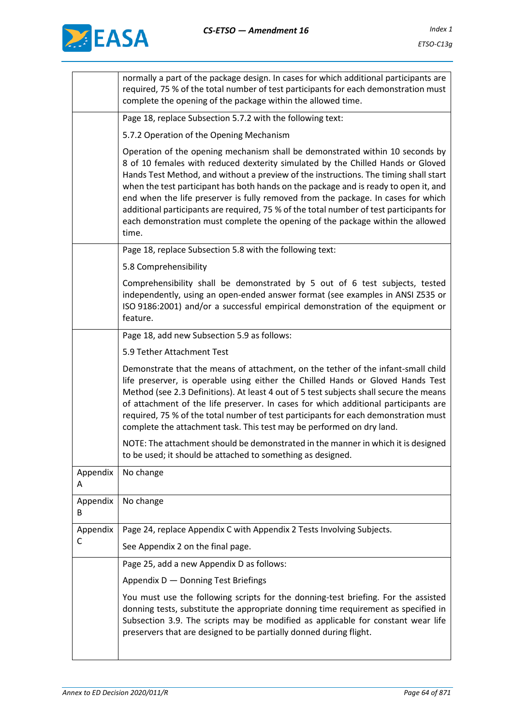

|               | normally a part of the package design. In cases for which additional participants are<br>required, 75 % of the total number of test participants for each demonstration must<br>complete the opening of the package within the allowed time.                                                                                                                                                                                                                                                                                                                                                                                |  |
|---------------|-----------------------------------------------------------------------------------------------------------------------------------------------------------------------------------------------------------------------------------------------------------------------------------------------------------------------------------------------------------------------------------------------------------------------------------------------------------------------------------------------------------------------------------------------------------------------------------------------------------------------------|--|
|               | Page 18, replace Subsection 5.7.2 with the following text:                                                                                                                                                                                                                                                                                                                                                                                                                                                                                                                                                                  |  |
|               | 5.7.2 Operation of the Opening Mechanism                                                                                                                                                                                                                                                                                                                                                                                                                                                                                                                                                                                    |  |
|               | Operation of the opening mechanism shall be demonstrated within 10 seconds by<br>8 of 10 females with reduced dexterity simulated by the Chilled Hands or Gloved<br>Hands Test Method, and without a preview of the instructions. The timing shall start<br>when the test participant has both hands on the package and is ready to open it, and<br>end when the life preserver is fully removed from the package. In cases for which<br>additional participants are required, 75 % of the total number of test participants for<br>each demonstration must complete the opening of the package within the allowed<br>time. |  |
|               | Page 18, replace Subsection 5.8 with the following text:                                                                                                                                                                                                                                                                                                                                                                                                                                                                                                                                                                    |  |
|               | 5.8 Comprehensibility                                                                                                                                                                                                                                                                                                                                                                                                                                                                                                                                                                                                       |  |
|               | Comprehensibility shall be demonstrated by 5 out of 6 test subjects, tested<br>independently, using an open-ended answer format (see examples in ANSI Z535 or<br>ISO 9186:2001) and/or a successful empirical demonstration of the equipment or<br>feature.                                                                                                                                                                                                                                                                                                                                                                 |  |
|               | Page 18, add new Subsection 5.9 as follows:                                                                                                                                                                                                                                                                                                                                                                                                                                                                                                                                                                                 |  |
|               | 5.9 Tether Attachment Test                                                                                                                                                                                                                                                                                                                                                                                                                                                                                                                                                                                                  |  |
|               | Demonstrate that the means of attachment, on the tether of the infant-small child<br>life preserver, is operable using either the Chilled Hands or Gloved Hands Test<br>Method (see 2.3 Definitions). At least 4 out of 5 test subjects shall secure the means<br>of attachment of the life preserver. In cases for which additional participants are<br>required, 75 % of the total number of test participants for each demonstration must<br>complete the attachment task. This test may be performed on dry land.                                                                                                       |  |
|               | NOTE: The attachment should be demonstrated in the manner in which it is designed<br>to be used; it should be attached to something as designed.                                                                                                                                                                                                                                                                                                                                                                                                                                                                            |  |
| Appendix<br>Α | No change                                                                                                                                                                                                                                                                                                                                                                                                                                                                                                                                                                                                                   |  |
| Appendix<br>B | No change                                                                                                                                                                                                                                                                                                                                                                                                                                                                                                                                                                                                                   |  |
|               |                                                                                                                                                                                                                                                                                                                                                                                                                                                                                                                                                                                                                             |  |
| Appendix      | Page 24, replace Appendix C with Appendix 2 Tests Involving Subjects.                                                                                                                                                                                                                                                                                                                                                                                                                                                                                                                                                       |  |
| C             | See Appendix 2 on the final page.                                                                                                                                                                                                                                                                                                                                                                                                                                                                                                                                                                                           |  |
|               | Page 25, add a new Appendix D as follows:                                                                                                                                                                                                                                                                                                                                                                                                                                                                                                                                                                                   |  |
|               | Appendix D - Donning Test Briefings                                                                                                                                                                                                                                                                                                                                                                                                                                                                                                                                                                                         |  |
|               | You must use the following scripts for the donning-test briefing. For the assisted<br>donning tests, substitute the appropriate donning time requirement as specified in<br>Subsection 3.9. The scripts may be modified as applicable for constant wear life<br>preservers that are designed to be partially donned during flight.                                                                                                                                                                                                                                                                                          |  |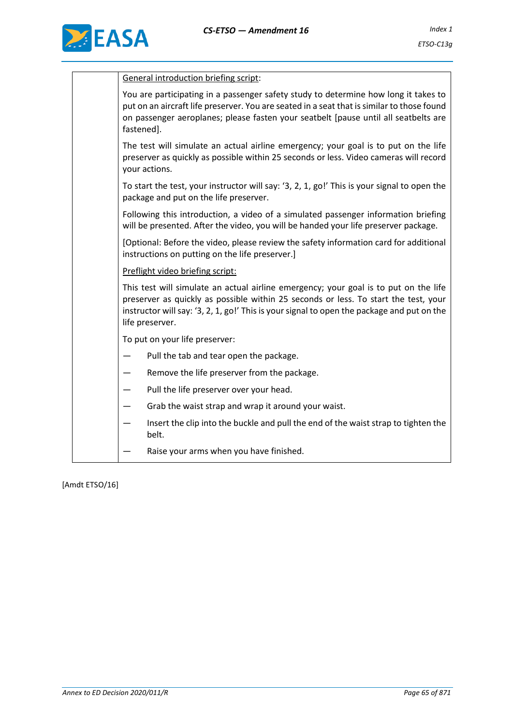



| <b>General introduction briefing script:</b><br>You are participating in a passenger safety study to determine how long it takes to<br>put on an aircraft life preserver. You are seated in a seat that is similar to those found<br>on passenger aeroplanes; please fasten your seatbelt [pause until all seatbelts are<br>fastened].<br>The test will simulate an actual airline emergency; your goal is to put on the life<br>preserver as quickly as possible within 25 seconds or less. Video cameras will record<br>your actions.<br>To start the test, your instructor will say: '3, 2, 1, go!' This is your signal to open the<br>package and put on the life preserver.<br>Following this introduction, a video of a simulated passenger information briefing<br>will be presented. After the video, you will be handed your life preserver package.<br>[Optional: Before the video, please review the safety information card for additional<br>instructions on putting on the life preserver.]<br>Preflight video briefing script:<br>This test will simulate an actual airline emergency; your goal is to put on the life<br>preserver as quickly as possible within 25 seconds or less. To start the test, your<br>instructor will say: '3, 2, 1, go!' This is your signal to open the package and put on the<br>life preserver.<br>To put on your life preserver:<br>Pull the tab and tear open the package.<br>Remove the life preserver from the package.<br>Pull the life preserver over your head.<br>Grab the waist strap and wrap it around your waist.<br>—<br>Insert the clip into the buckle and pull the end of the waist strap to tighten the<br>belt.<br>Raise your arms when you have finished. |  |
|----------------------------------------------------------------------------------------------------------------------------------------------------------------------------------------------------------------------------------------------------------------------------------------------------------------------------------------------------------------------------------------------------------------------------------------------------------------------------------------------------------------------------------------------------------------------------------------------------------------------------------------------------------------------------------------------------------------------------------------------------------------------------------------------------------------------------------------------------------------------------------------------------------------------------------------------------------------------------------------------------------------------------------------------------------------------------------------------------------------------------------------------------------------------------------------------------------------------------------------------------------------------------------------------------------------------------------------------------------------------------------------------------------------------------------------------------------------------------------------------------------------------------------------------------------------------------------------------------------------------------------------------------------------------------------------------------------------------------|--|
|                                                                                                                                                                                                                                                                                                                                                                                                                                                                                                                                                                                                                                                                                                                                                                                                                                                                                                                                                                                                                                                                                                                                                                                                                                                                                                                                                                                                                                                                                                                                                                                                                                                                                                                            |  |
|                                                                                                                                                                                                                                                                                                                                                                                                                                                                                                                                                                                                                                                                                                                                                                                                                                                                                                                                                                                                                                                                                                                                                                                                                                                                                                                                                                                                                                                                                                                                                                                                                                                                                                                            |  |
|                                                                                                                                                                                                                                                                                                                                                                                                                                                                                                                                                                                                                                                                                                                                                                                                                                                                                                                                                                                                                                                                                                                                                                                                                                                                                                                                                                                                                                                                                                                                                                                                                                                                                                                            |  |
|                                                                                                                                                                                                                                                                                                                                                                                                                                                                                                                                                                                                                                                                                                                                                                                                                                                                                                                                                                                                                                                                                                                                                                                                                                                                                                                                                                                                                                                                                                                                                                                                                                                                                                                            |  |
|                                                                                                                                                                                                                                                                                                                                                                                                                                                                                                                                                                                                                                                                                                                                                                                                                                                                                                                                                                                                                                                                                                                                                                                                                                                                                                                                                                                                                                                                                                                                                                                                                                                                                                                            |  |
|                                                                                                                                                                                                                                                                                                                                                                                                                                                                                                                                                                                                                                                                                                                                                                                                                                                                                                                                                                                                                                                                                                                                                                                                                                                                                                                                                                                                                                                                                                                                                                                                                                                                                                                            |  |
|                                                                                                                                                                                                                                                                                                                                                                                                                                                                                                                                                                                                                                                                                                                                                                                                                                                                                                                                                                                                                                                                                                                                                                                                                                                                                                                                                                                                                                                                                                                                                                                                                                                                                                                            |  |
|                                                                                                                                                                                                                                                                                                                                                                                                                                                                                                                                                                                                                                                                                                                                                                                                                                                                                                                                                                                                                                                                                                                                                                                                                                                                                                                                                                                                                                                                                                                                                                                                                                                                                                                            |  |
|                                                                                                                                                                                                                                                                                                                                                                                                                                                                                                                                                                                                                                                                                                                                                                                                                                                                                                                                                                                                                                                                                                                                                                                                                                                                                                                                                                                                                                                                                                                                                                                                                                                                                                                            |  |
|                                                                                                                                                                                                                                                                                                                                                                                                                                                                                                                                                                                                                                                                                                                                                                                                                                                                                                                                                                                                                                                                                                                                                                                                                                                                                                                                                                                                                                                                                                                                                                                                                                                                                                                            |  |
|                                                                                                                                                                                                                                                                                                                                                                                                                                                                                                                                                                                                                                                                                                                                                                                                                                                                                                                                                                                                                                                                                                                                                                                                                                                                                                                                                                                                                                                                                                                                                                                                                                                                                                                            |  |
|                                                                                                                                                                                                                                                                                                                                                                                                                                                                                                                                                                                                                                                                                                                                                                                                                                                                                                                                                                                                                                                                                                                                                                                                                                                                                                                                                                                                                                                                                                                                                                                                                                                                                                                            |  |
|                                                                                                                                                                                                                                                                                                                                                                                                                                                                                                                                                                                                                                                                                                                                                                                                                                                                                                                                                                                                                                                                                                                                                                                                                                                                                                                                                                                                                                                                                                                                                                                                                                                                                                                            |  |
|                                                                                                                                                                                                                                                                                                                                                                                                                                                                                                                                                                                                                                                                                                                                                                                                                                                                                                                                                                                                                                                                                                                                                                                                                                                                                                                                                                                                                                                                                                                                                                                                                                                                                                                            |  |
|                                                                                                                                                                                                                                                                                                                                                                                                                                                                                                                                                                                                                                                                                                                                                                                                                                                                                                                                                                                                                                                                                                                                                                                                                                                                                                                                                                                                                                                                                                                                                                                                                                                                                                                            |  |

[Amdt ETSO/16]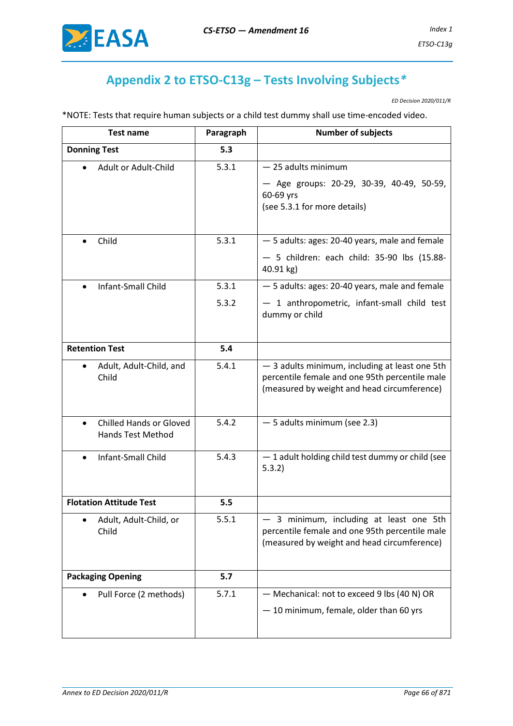

# **Appendix 2 to ETSO-C13g – Tests Involving Subjects***\**

*ED Decision 2020/011/R*

\*NOTE: Tests that require human subjects or a child test dummy shall use time-encoded video.

| <b>Test name</b>                                                        | Paragraph | <b>Number of subjects</b>                                                                                                                       |
|-------------------------------------------------------------------------|-----------|-------------------------------------------------------------------------------------------------------------------------------------------------|
| <b>Donning Test</b>                                                     | 5.3       |                                                                                                                                                 |
| Adult or Adult-Child                                                    | 5.3.1     | - 25 adults minimum<br>- Age groups: 20-29, 30-39, 40-49, 50-59,<br>60-69 yrs<br>(see 5.3.1 for more details)                                   |
| Child<br>$\bullet$                                                      | 5.3.1     | - 5 adults: ages: 20-40 years, male and female<br>$-5$ children: each child: 35-90 lbs (15.88-<br>40.91 kg)                                     |
| Infant-Small Child                                                      | 5.3.1     | - 5 adults: ages: 20-40 years, male and female                                                                                                  |
|                                                                         | 5.3.2     | - 1 anthropometric, infant-small child test<br>dummy or child                                                                                   |
| <b>Retention Test</b>                                                   | 5.4       |                                                                                                                                                 |
| Adult, Adult-Child, and<br>Child                                        | 5.4.1     | - 3 adults minimum, including at least one 5th<br>percentile female and one 95th percentile male<br>(measured by weight and head circumference) |
| <b>Chilled Hands or Gloved</b><br>$\bullet$<br><b>Hands Test Method</b> | 5.4.2     | - 5 adults minimum (see 2.3)                                                                                                                    |
| <b>Infant-Small Child</b><br>$\bullet$                                  | 5.4.3     | - 1 adult holding child test dummy or child (see<br>5.3.2)                                                                                      |
| <b>Flotation Attitude Test</b>                                          | 5.5       |                                                                                                                                                 |
| Adult, Adult-Child, or<br>٠<br>Child                                    | 5.5.1     | 3 minimum, including at least one 5th<br>percentile female and one 95th percentile male<br>(measured by weight and head circumference)          |
| <b>Packaging Opening</b>                                                | 5.7       |                                                                                                                                                 |
| Pull Force (2 methods)                                                  | 5.7.1     | - Mechanical: not to exceed 9 lbs (40 N) OR<br>- 10 minimum, female, older than 60 yrs                                                          |